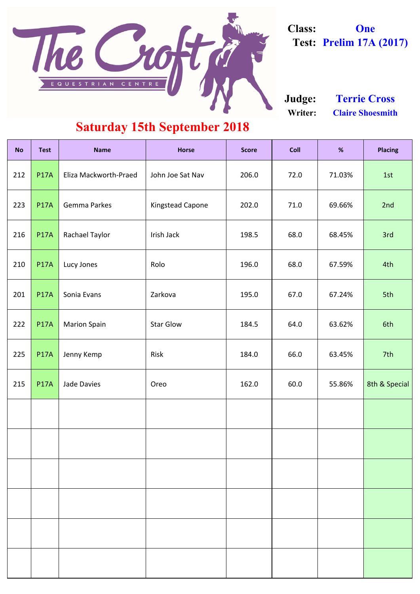| <b>No</b> | <b>Test</b> | <b>Name</b>           | <b>Horse</b>            | <b>Score</b> | <b>Coll</b> | %      | <b>Placing</b> |
|-----------|-------------|-----------------------|-------------------------|--------------|-------------|--------|----------------|
| 212       | <b>P17A</b> | Eliza Mackworth-Praed | John Joe Sat Nav        | 206.0        | 72.0        | 71.03% | 1st            |
| 223       | <b>P17A</b> | <b>Gemma Parkes</b>   | <b>Kingstead Capone</b> | 202.0        | 71.0        | 69.66% | 2nd            |
| 216       | <b>P17A</b> | <b>Rachael Taylor</b> | Irish Jack              | 198.5        | 68.0        | 68.45% | 3rd            |
| 210       | <b>P17A</b> | Lucy Jones            | Rolo                    | 196.0        | 68.0        | 67.59% | 4th            |
| 201       | <b>P17A</b> | Sonia Evans           | Zarkova                 | 195.0        | 67.0        | 67.24% | 5th            |
| 222       | <b>P17A</b> | <b>Marion Spain</b>   | <b>Star Glow</b>        | 184.5        | 64.0        | 63.62% | 6th            |
| 225       | <b>P17A</b> | Jenny Kemp            | Risk                    | 184.0        | 66.0        | 63.45% | 7th            |
| 215       | <b>P17A</b> | <b>Jade Davies</b>    | Oreo                    | 162.0        | 60.0        | 55.86% | 8th & Special  |
|           |             |                       |                         |              |             |        |                |
|           |             |                       |                         |              |             |        |                |

**Writer: Claire Shoesmith Judge: Terrie Cross**

#### **Saturday 15th September 2018**



**Class: One Test: Prelim 17A (2017)**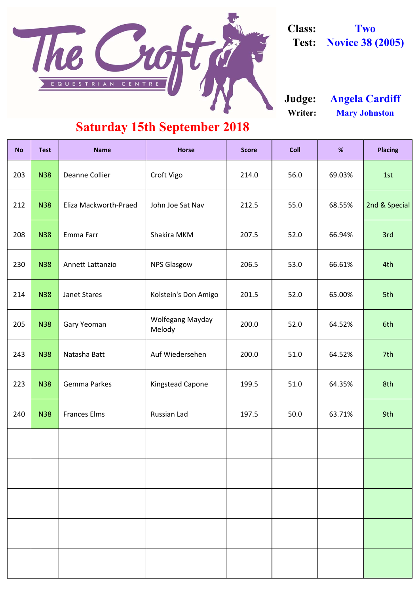| <b>No</b> | <b>Test</b> | <b>Name</b>             | <b>Horse</b>                      | <b>Score</b> | <b>Coll</b> | %      | <b>Placing</b> |
|-----------|-------------|-------------------------|-----------------------------------|--------------|-------------|--------|----------------|
| 203       | <b>N38</b>  | <b>Deanne Collier</b>   | Croft Vigo                        | 214.0        | 56.0        | 69.03% | 1st            |
| 212       | <b>N38</b>  | Eliza Mackworth-Praed   | John Joe Sat Nav                  | 212.5        | 55.0        | 68.55% | 2nd & Special  |
| 208       | <b>N38</b>  | Emma Farr               | Shakira MKM                       | 207.5        | 52.0        | 66.94% | 3rd            |
| 230       | <b>N38</b>  | <b>Annett Lattanzio</b> | <b>NPS Glasgow</b>                | 206.5        | 53.0        | 66.61% | 4th            |
| 214       | <b>N38</b>  | <b>Janet Stares</b>     | Kolstein's Don Amigo              | 201.5        | 52.0        | 65.00% | 5th            |
| 205       | <b>N38</b>  | <b>Gary Yeoman</b>      | <b>Wolfegang Mayday</b><br>Melody | 200.0        | 52.0        | 64.52% | 6th            |
| 243       | <b>N38</b>  | Natasha Batt            | Auf Wiedersehen                   | 200.0        | 51.0        | 64.52% | 7th            |
| 223       | <b>N38</b>  | <b>Gemma Parkes</b>     | <b>Kingstead Capone</b>           | 199.5        | 51.0        | 64.35% | 8th            |
| 240       | <b>N38</b>  | <b>Frances Elms</b>     | Russian Lad                       | 197.5        | 50.0        | 63.71% | 9th            |
|           |             |                         |                                   |              |             |        |                |

**Writer: Mary Johnston Judge: Angela Cardiff**

### **Saturday 15th September 2018**



**Class: Two Test: Novice 38 (2005)**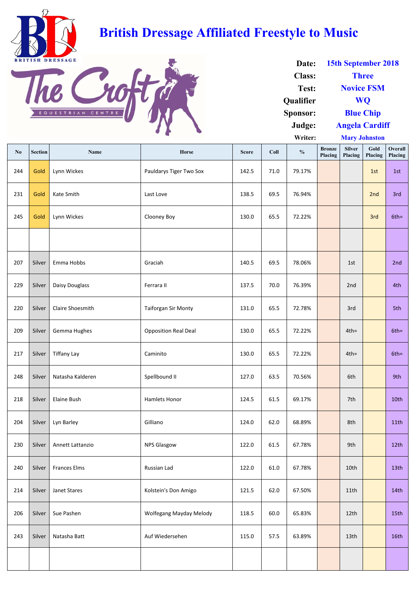| $\mathbf{N}\mathbf{0}$ | <b>Section</b> | <b>Name</b>         | Horse                       | <b>Score</b> | Coll | $\frac{0}{0}$ | <b>Bronze</b><br>Placing | <b>Silver</b><br>Placing | Gold<br>Placing | Overall<br>Placing |
|------------------------|----------------|---------------------|-----------------------------|--------------|------|---------------|--------------------------|--------------------------|-----------------|--------------------|
| 244                    | Gold           | Lynn Wickes         | Pauldarys Tiger Two Sox     | 142.5        | 71.0 | 79.17%        |                          |                          | 1st             | 1st                |
| 231                    | Gold           | Kate Smith          | Last Love                   | 138.5        | 69.5 | 76.94%        |                          |                          | 2nd             | 3rd                |
| 245                    | Gold           | Lynn Wickes         | Clooney Boy                 | 130.0        | 65.5 | 72.22%        |                          |                          | 3rd             | $6th =$            |
|                        |                |                     |                             |              |      |               |                          |                          |                 |                    |
| 207                    | Silver         | Emma Hobbs          | Graciah                     | 140.5        | 69.5 | 78.06%        |                          | 1st                      |                 | 2nd                |
| 229                    | Silver         | Daisy Douglass      | Ferrara II                  | 137.5        | 70.0 | 76.39%        |                          | 2nd                      |                 | 4th                |
| 220                    | Silver         | Claire Shoesmith    | <b>Taiforgan Sir Monty</b>  | 131.0        | 65.5 | 72.78%        |                          | 3rd                      |                 | 5th                |
| 209                    | Silver         | Gemma Hughes        | <b>Opposition Real Deal</b> | 130.0        | 65.5 | 72.22%        |                          | $4th =$                  |                 | $6th =$            |
| 217                    | Silver         | <b>Tiffany Lay</b>  | Caminito                    | 130.0        | 65.5 | 72.22%        |                          | $4th =$                  |                 | $6th =$            |
| 248                    | Silver         | Natasha Kalderen    | Spellbound II               | 127.0        | 63.5 | 70.56%        |                          | 6th                      |                 | 9th                |
| 218                    | Silver         | <b>Elaine Bush</b>  | Hamlets Honor               | 124.5        | 61.5 | 69.17%        |                          | 7th                      |                 | 10th               |
| 204                    | Silver         | Lyn Barley          | Gilliano                    | 124.0        | 62.0 | 68.89%        |                          | 8th                      |                 | 11th               |
| 230                    | Silver         | Annett Lattanzio    | <b>NPS Glasgow</b>          | 122.0        | 61.5 | 67.78%        |                          | 9th                      |                 | 12th               |
| 240                    | Silver         | <b>Frances Elms</b> | Russian Lad                 | 122.0        | 61.0 | 67.78%        |                          | 10th                     |                 | 13th               |
| 214                    | Silver         | Janet Stares        | Kolstein's Don Amigo        | 121.5        | 62.0 | 67.50%        |                          | 11th                     |                 | 14th               |
| 206                    | Silver         | Sue Pashen          | Wolfegang Mayday Melody     | 118.5        | 60.0 | 65.83%        |                          | 12th                     |                 | 15th               |
| 243                    | Silver         | Natasha Batt        | Auf Wiedersehen             | 115.0        | 57.5 | 63.89%        |                          | 13th                     |                 | 16th               |
|                        |                |                     |                             |              |      |               |                          |                          |                 |                    |

| Date:            | 15th September 2018   |
|------------------|-----------------------|
| <b>Class:</b>    | <b>Three</b>          |
| Test:            | <b>Novice FSM</b>     |
| <b>Qualifier</b> | <b>WO</b>             |
| Sponsor:         | <b>Blue Chip</b>      |
| Judge:           | <b>Angela Cardiff</b> |
| Writer:          | <b>Mary Johnston</b>  |



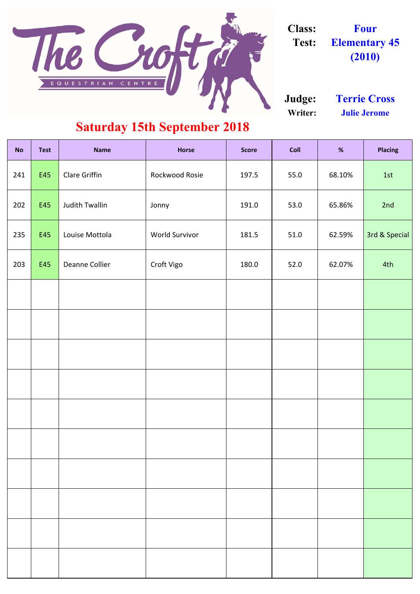| <b>No</b> | <b>Test</b> | <b>Name</b>           | <b>Horse</b>          | <b>Score</b> | <b>Coll</b> | %      | <b>Placing</b> |
|-----------|-------------|-----------------------|-----------------------|--------------|-------------|--------|----------------|
| 241       | E45         | <b>Clare Griffin</b>  | Rockwood Rosie        | 197.5        | 55.0        | 68.10% | 1st            |
| 202       | E45         | <b>Judith Twallin</b> | Jonny                 | 191.0        | 53.0        | 65.86% | 2nd            |
| 235       | E45         | Louise Mottola        | <b>World Survivor</b> | 181.5        | 51.0        | 62.59% | 3rd & Special  |
| 203       | E45         | Deanne Collier        | Croft Vigo            | 180.0        | 52.0        | 62.07% | 4th            |
|           |             |                       |                       |              |             |        |                |
|           |             |                       |                       |              |             |        |                |
|           |             |                       |                       |              |             |        |                |
|           |             |                       |                       |              |             |        |                |
|           |             |                       |                       |              |             |        |                |
|           |             |                       |                       |              |             |        |                |
|           |             |                       |                       |              |             |        |                |
|           |             |                       |                       |              |             |        |                |
|           |             |                       |                       |              |             |        |                |
|           |             |                       |                       |              |             |        |                |

**Writer: Julie Jerome Judge: Terrie Cross**

### **Saturday 15th September 2018**



**Class: Four Test: Elementary 45 (2010)**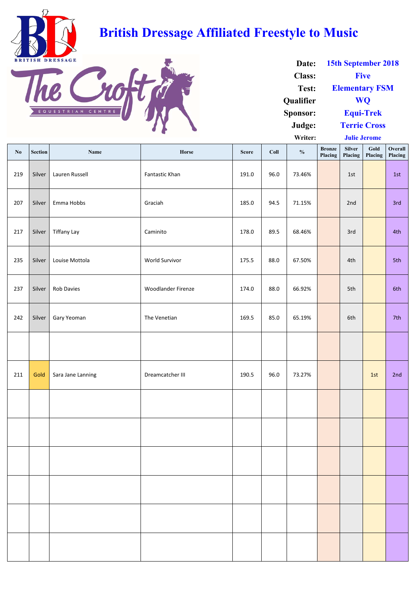| $\mathbf{N}\mathbf{0}$ | <b>Section</b> | <b>Name</b>        | Horse                     | <b>Score</b> | Coll | $\frac{0}{0}$ | <b>Bronze</b><br>Placing | <b>Silver</b><br>Placing | Gold<br>Placing | Overall<br>Placing |
|------------------------|----------------|--------------------|---------------------------|--------------|------|---------------|--------------------------|--------------------------|-----------------|--------------------|
| 219                    | Silver         | Lauren Russell     | Fantastic Khan            | 191.0        | 96.0 | 73.46%        |                          | 1st                      |                 | 1st                |
| 207                    | Silver         | Emma Hobbs         | Graciah                   | 185.0        | 94.5 | 71.15%        |                          | 2nd                      |                 | 3rd                |
| 217                    | Silver         | <b>Tiffany Lay</b> | Caminito                  | 178.0        | 89.5 | 68.46%        |                          | 3rd                      |                 | 4th                |
| 235                    | Silver         | Louise Mottola     | World Survivor            | 175.5        | 88.0 | 67.50%        |                          | 4th                      |                 | 5th                |
| 237                    | Silver         | Rob Davies         | <b>Woodlander Firenze</b> | 174.0        | 88.0 | 66.92%        |                          | 5th                      |                 | 6th                |
| 242                    | Silver         | Gary Yeoman        | The Venetian              | 169.5        | 85.0 | 65.19%        |                          | 6th                      |                 | 7th                |
|                        |                |                    |                           |              |      |               |                          |                          |                 |                    |
| 211                    | Gold           | Sara Jane Lanning  | Dreamcatcher III          | 190.5        | 96.0 | 73.27%        |                          |                          | 1st             | 2nd                |
|                        |                |                    |                           |              |      |               |                          |                          |                 |                    |
|                        |                |                    |                           |              |      |               |                          |                          |                 |                    |
|                        |                |                    |                           |              |      |               |                          |                          |                 |                    |
|                        |                |                    |                           |              |      |               |                          |                          |                 |                    |
|                        |                |                    |                           |              |      |               |                          |                          |                 |                    |
|                        |                |                    |                           |              |      |               |                          |                          |                 |                    |

| Date:            | 15th September 2018   |
|------------------|-----------------------|
| <b>Class:</b>    | <b>Five</b>           |
| Test:            | <b>Elementary FSM</b> |
| <b>Qualifier</b> | WO                    |
| Sponsor:         | <b>Equi-Trek</b>      |
| Judge:           | <b>Terrie Cross</b>   |
| Writer:          | <b>Julie Jerome</b>   |



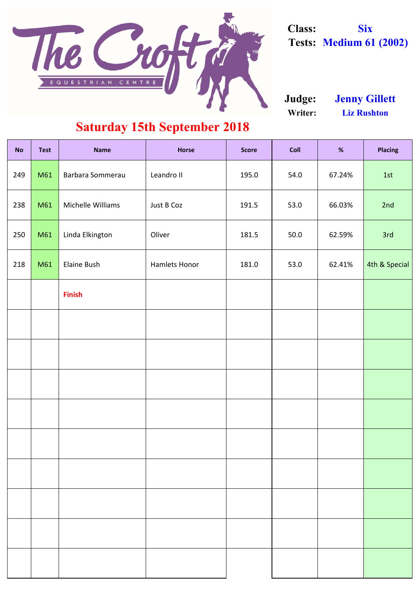| <b>No</b> | <b>Test</b> | <b>Name</b>       | <b>Horse</b>         | <b>Score</b> | <b>Coll</b> | %      | <b>Placing</b> |
|-----------|-------------|-------------------|----------------------|--------------|-------------|--------|----------------|
| 249       | M61         | Barbara Sommerau  | Leandro II           | 195.0        | 54.0        | 67.24% | 1st            |
| 238       | M61         | Michelle Williams | Just B Coz           | 191.5        | 53.0        | 66.03% | 2nd            |
| 250       | M61         | Linda Elkington   | Oliver               | 181.5        | 50.0        | 62.59% | 3rd            |
| 218       | M61         | Elaine Bush       | <b>Hamlets Honor</b> | 181.0        | 53.0        | 62.41% | 4th & Special  |
|           |             | <b>Finish</b>     |                      |              |             |        |                |
|           |             |                   |                      |              |             |        |                |
|           |             |                   |                      |              |             |        |                |
|           |             |                   |                      |              |             |        |                |
|           |             |                   |                      |              |             |        |                |
|           |             |                   |                      |              |             |        |                |
|           |             |                   |                      |              |             |        |                |
|           |             |                   |                      |              |             |        |                |
|           |             |                   |                      |              |             |        |                |
|           |             |                   |                      |              |             |        |                |

### **Saturday 15th September 2018**

**Writer: Liz Rushton Judge: Jenny Gillett**



**Class: Six Tests: Medium 61 (2002)**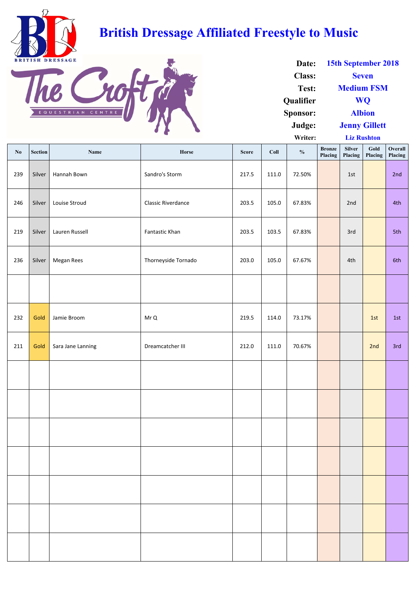|                        |                |                   |                           |              |       | $\cdots$      |                          | <b>LIL RUSHVIL</b> |                 |                    |
|------------------------|----------------|-------------------|---------------------------|--------------|-------|---------------|--------------------------|--------------------|-----------------|--------------------|
| $\mathbf{N}\mathbf{0}$ | <b>Section</b> | <b>Name</b>       | Horse                     | <b>Score</b> | Coll  | $\frac{0}{0}$ | <b>Bronze</b><br>Placing | Silver<br>Placing  | Gold<br>Placing | Overall<br>Placing |
| 239                    | Silver         | Hannah Bown       | Sandro's Storm            | 217.5        | 111.0 | 72.50%        |                          | 1st                |                 | 2nd                |
| 246                    | Silver         | Louise Stroud     | <b>Classic Riverdance</b> | 203.5        | 105.0 | 67.83%        |                          | 2nd                |                 | 4th                |
| 219                    | Silver         | Lauren Russell    | Fantastic Khan            | 203.5        | 103.5 | 67.83%        |                          | 3rd                |                 | 5th                |
| 236                    | Silver         | Megan Rees        | Thorneyside Tornado       | 203.0        | 105.0 | 67.67%        |                          | 4th                |                 | 6th                |
|                        |                |                   |                           |              |       |               |                          |                    |                 |                    |
| 232                    | Gold           | Jamie Broom       | Mr Q                      | 219.5        | 114.0 | 73.17%        |                          |                    | 1st             | 1st                |
| 211                    | Gold           | Sara Jane Lanning | Dreamcatcher III          | 212.0        | 111.0 | 70.67%        |                          |                    | 2nd             | 3rd                |
|                        |                |                   |                           |              |       |               |                          |                    |                 |                    |
|                        |                |                   |                           |              |       |               |                          |                    |                 |                    |
|                        |                |                   |                           |              |       |               |                          |                    |                 |                    |
|                        |                |                   |                           |              |       |               |                          |                    |                 |                    |
|                        |                |                   |                           |              |       |               |                          |                    |                 |                    |
|                        |                |                   |                           |              |       |               |                          |                    |                 |                    |
|                        |                |                   |                           |              |       |               |                          |                    |                 |                    |

| Date:            | 15th September 2018  |  |  |  |  |  |
|------------------|----------------------|--|--|--|--|--|
| <b>Class:</b>    | <b>Seven</b>         |  |  |  |  |  |
| Test:            | <b>Medium FSM</b>    |  |  |  |  |  |
| <b>Qualifier</b> | <b>WO</b>            |  |  |  |  |  |
| <b>Sponsor:</b>  | <b>Albion</b>        |  |  |  |  |  |
| Judge:           | <b>Jenny Gillett</b> |  |  |  |  |  |
| Writer:          | <b>Liz Rushton</b>   |  |  |  |  |  |



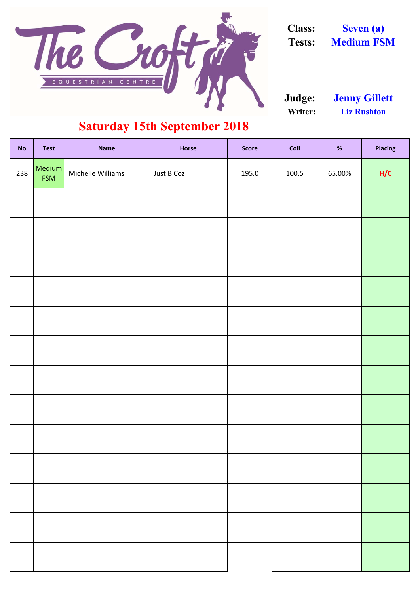| <b>No</b> | <b>Test</b>          | <b>Name</b>       | <b>Horse</b> | <b>Score</b> | %<br>Coll |        | <b>Placing</b> |  |
|-----------|----------------------|-------------------|--------------|--------------|-----------|--------|----------------|--|
| 238       | Medium<br><b>FSM</b> | Michelle Williams | Just B Coz   | 195.0        | 100.5     | 65.00% |                |  |
|           |                      |                   |              |              |           |        |                |  |
|           |                      |                   |              |              |           |        |                |  |
|           |                      |                   |              |              |           |        |                |  |
|           |                      |                   |              |              |           |        |                |  |
|           |                      |                   |              |              |           |        |                |  |
|           |                      |                   |              |              |           |        |                |  |
|           |                      |                   |              |              |           |        |                |  |
|           |                      |                   |              |              |           |        |                |  |
|           |                      |                   |              |              |           |        |                |  |
|           |                      |                   |              |              |           |        |                |  |
|           |                      |                   |              |              |           |        |                |  |
|           |                      |                   |              |              |           |        |                |  |
|           |                      |                   |              |              |           |        |                |  |

### **Saturday 15th September 2018**

**Writer: Liz Rushton Judge: Jenny Gillett**



**Class: Seven (a) Tests: Medium FSM**